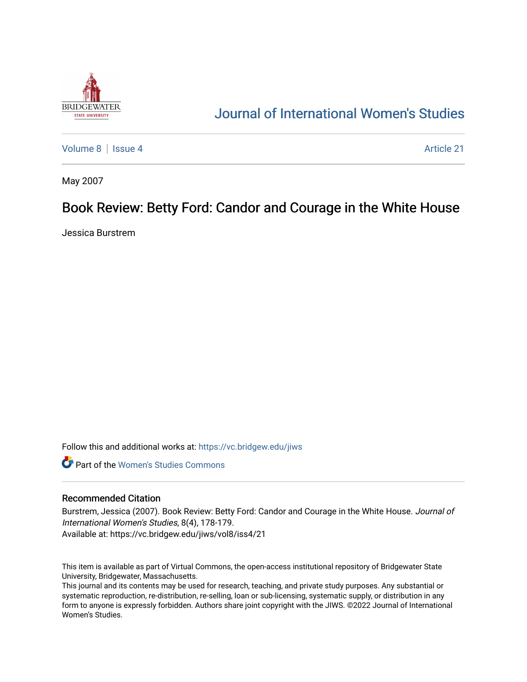

## [Journal of International Women's Studies](https://vc.bridgew.edu/jiws)

[Volume 8](https://vc.bridgew.edu/jiws/vol8) | [Issue 4](https://vc.bridgew.edu/jiws/vol8/iss4) Article 21

May 2007

## Book Review: Betty Ford: Candor and Courage in the White House

Jessica Burstrem

Follow this and additional works at: [https://vc.bridgew.edu/jiws](https://vc.bridgew.edu/jiws?utm_source=vc.bridgew.edu%2Fjiws%2Fvol8%2Fiss4%2F21&utm_medium=PDF&utm_campaign=PDFCoverPages)

**C** Part of the Women's Studies Commons

## Recommended Citation

Burstrem, Jessica (2007). Book Review: Betty Ford: Candor and Courage in the White House. Journal of International Women's Studies, 8(4), 178-179. Available at: https://vc.bridgew.edu/jiws/vol8/iss4/21

This item is available as part of Virtual Commons, the open-access institutional repository of Bridgewater State University, Bridgewater, Massachusetts.

This journal and its contents may be used for research, teaching, and private study purposes. Any substantial or systematic reproduction, re-distribution, re-selling, loan or sub-licensing, systematic supply, or distribution in any form to anyone is expressly forbidden. Authors share joint copyright with the JIWS. ©2022 Journal of International Women's Studies.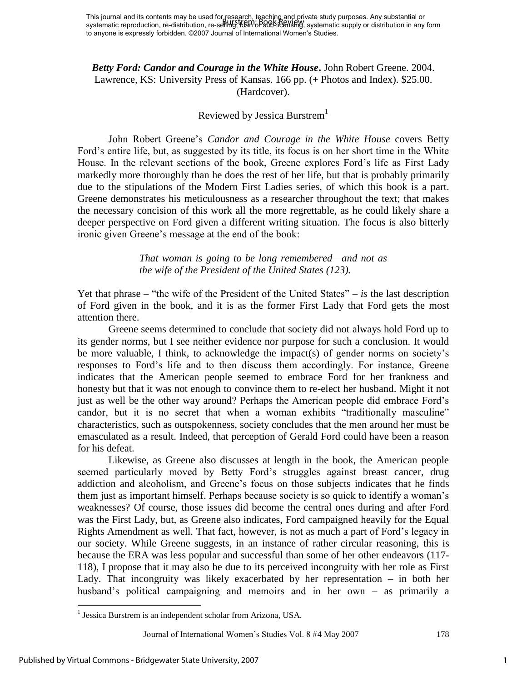*Betty Ford: Candor and Courage in the White House***.** John Robert Greene. 2004. Lawrence, KS: University Press of Kansas. 166 pp. (+ Photos and Index). \$25.00. (Hardcover).

## Reviewed by Jessica Burstrem<sup>1</sup>

John Robert Greene's *Candor and Courage in the White House* covers Betty Ford's entire life, but, as suggested by its title, its focus is on her short time in the White House. In the relevant sections of the book, Greene explores Ford's life as First Lady markedly more thoroughly than he does the rest of her life, but that is probably primarily due to the stipulations of the Modern First Ladies series, of which this book is a part. Greene demonstrates his meticulousness as a researcher throughout the text; that makes the necessary concision of this work all the more regrettable, as he could likely share a deeper perspective on Ford given a different writing situation. The focus is also bitterly ironic given Greene's message at the end of the book:

> *That woman is going to be long remembered—and not as the wife of the President of the United States (123).*

Yet that phrase – "the wife of the President of the United States" – *is* the last description of Ford given in the book, and it is as the former First Lady that Ford gets the most attention there.

Greene seems determined to conclude that society did not always hold Ford up to its gender norms, but I see neither evidence nor purpose for such a conclusion. It would be more valuable, I think, to acknowledge the impact(s) of gender norms on society's responses to Ford's life and to then discuss them accordingly. For instance, Greene indicates that the American people seemed to embrace Ford for her frankness and honesty but that it was not enough to convince them to re-elect her husband. Might it not just as well be the other way around? Perhaps the American people did embrace Ford's candor, but it is no secret that when a woman exhibits "traditionally masculine" characteristics, such as outspokenness, society concludes that the men around her must be emasculated as a result. Indeed, that perception of Gerald Ford could have been a reason for his defeat.

Likewise, as Greene also discusses at length in the book, the American people seemed particularly moved by Betty Ford's struggles against breast cancer, drug addiction and alcoholism, and Greene's focus on those subjects indicates that he finds them just as important himself. Perhaps because society is so quick to identify a woman's weaknesses? Of course, those issues did become the central ones during and after Ford was the First Lady, but, as Greene also indicates, Ford campaigned heavily for the Equal Rights Amendment as well. That fact, however, is not as much a part of Ford's legacy in our society. While Greene suggests, in an instance of rather circular reasoning, this is because the ERA was less popular and successful than some of her other endeavors (117- 118), I propose that it may also be due to its perceived incongruity with her role as First Lady. That incongruity was likely exacerbated by her representation – in both her husband's political campaigning and memoirs and in her own – as primarily a

Journal of International Women's Studies Vol. 8 #4 May 2007 178

 $\overline{a}$ 

<sup>&</sup>lt;sup>1</sup> Jessica Burstrem is an independent scholar from Arizona, USA.